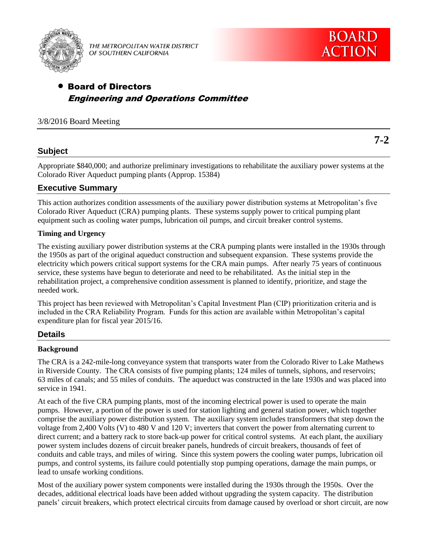

THE METROPOLITAN WATER DISTRICT OF SOUTHERN CALIFORNIA

# Board of Directors Engineering and Operations Committee

## 3/8/2016 Board Meeting

**7-2**

# **Subject**

Appropriate \$840,000; and authorize preliminary investigations to rehabilitate the auxiliary power systems at the Colorado River Aqueduct pumping plants (Approp. 15384)

## **Executive Summary**

This action authorizes condition assessments of the auxiliary power distribution systems at Metropolitan's five Colorado River Aqueduct (CRA) pumping plants. These systems supply power to critical pumping plant equipment such as cooling water pumps, lubrication oil pumps, and circuit breaker control systems.

## **Timing and Urgency**

The existing auxiliary power distribution systems at the CRA pumping plants were installed in the 1930s through the 1950s as part of the original aqueduct construction and subsequent expansion. These systems provide the electricity which powers critical support systems for the CRA main pumps. After nearly 75 years of continuous service, these systems have begun to deteriorate and need to be rehabilitated. As the initial step in the rehabilitation project, a comprehensive condition assessment is planned to identify, prioritize, and stage the needed work.

This project has been reviewed with Metropolitan's Capital Investment Plan (CIP) prioritization criteria and is included in the CRA Reliability Program. Funds for this action are available within Metropolitan's capital expenditure plan for fiscal year 2015/16.

## **Details**

## **Background**

The CRA is a 242-mile-long conveyance system that transports water from the Colorado River to Lake Mathews in Riverside County. The CRA consists of five pumping plants; 124 miles of tunnels, siphons, and reservoirs; 63 miles of canals; and 55 miles of conduits. The aqueduct was constructed in the late 1930s and was placed into service in 1941.

At each of the five CRA pumping plants, most of the incoming electrical power is used to operate the main pumps. However, a portion of the power is used for station lighting and general station power, which together comprise the auxiliary power distribution system. The auxiliary system includes transformers that step down the voltage from 2,400 Volts (V) to 480 V and 120 V; inverters that convert the power from alternating current to direct current; and a battery rack to store back-up power for critical control systems. At each plant, the auxiliary power system includes dozens of circuit breaker panels, hundreds of circuit breakers, thousands of feet of conduits and cable trays, and miles of wiring. Since this system powers the cooling water pumps, lubrication oil pumps, and control systems, its failure could potentially stop pumping operations, damage the main pumps, or lead to unsafe working conditions.

Most of the auxiliary power system components were installed during the 1930s through the 1950s. Over the decades, additional electrical loads have been added without upgrading the system capacity. The distribution panels' circuit breakers, which protect electrical circuits from damage caused by overload or short circuit, are now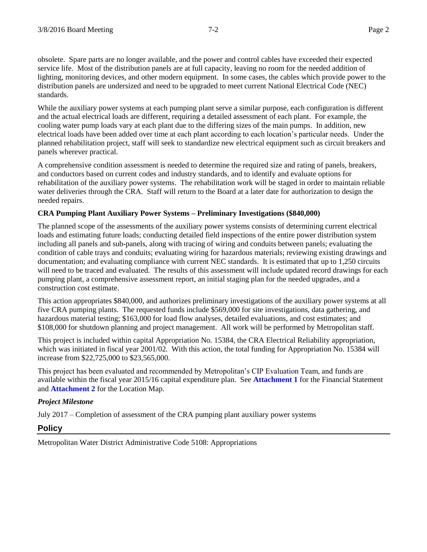obsolete. Spare parts are no longer available, and the power and control cables have exceeded their expected service life. Most of the distribution panels are at full capacity, leaving no room for the needed addition of lighting, monitoring devices, and other modern equipment. In some cases, the cables which provide power to the distribution panels are undersized and need to be upgraded to meet current National Electrical Code (NEC) standards.

While the auxiliary power systems at each pumping plant serve a similar purpose, each configuration is different and the actual electrical loads are different, requiring a detailed assessment of each plant. For example, the cooling water pump loads vary at each plant due to the differing sizes of the main pumps. In addition, new electrical loads have been added over time at each plant according to each location's particular needs. Under the planned rehabilitation project, staff will seek to standardize new electrical equipment such as circuit breakers and panels wherever practical.

A comprehensive condition assessment is needed to determine the required size and rating of panels, breakers, and conductors based on current codes and industry standards, and to identify and evaluate options for rehabilitation of the auxiliary power systems. The rehabilitation work will be staged in order to maintain reliable water deliveries through the CRA. Staff will return to the Board at a later date for authorization to design the needed repairs.

### **CRA Pumping Plant Auxiliary Power Systems – Preliminary Investigations (\$840,000)**

The planned scope of the assessments of the auxiliary power systems consists of determining current electrical loads and estimating future loads; conducting detailed field inspections of the entire power distribution system including all panels and sub-panels, along with tracing of wiring and conduits between panels; evaluating the condition of cable trays and conduits; evaluating wiring for hazardous materials; reviewing existing drawings and documentation; and evaluating compliance with current NEC standards. It is estimated that up to 1,250 circuits will need to be traced and evaluated. The results of this assessment will include updated record drawings for each pumping plant, a comprehensive assessment report, an initial staging plan for the needed upgrades, and a construction cost estimate.

This action appropriates \$840,000, and authorizes preliminary investigations of the auxiliary power systems at all five CRA pumping plants. The requested funds include \$569,000 for site investigations, data gathering, and hazardous material testing; \$163,000 for load flow analyses, detailed evaluations, and cost estimates; and \$108,000 for shutdown planning and project management. All work will be performed by Metropolitan staff.

This project is included within capital Appropriation No. 15384, the CRA Electrical Reliability appropriation, which was initiated in fiscal year 2001/02. With this action, the total funding for Appropriation No. 15384 will increase from \$22,725,000 to \$23,565,000.

This project has been evaluated and recommended by Metropolitan's CIP Evaluation Team, and funds are available within the fiscal year 2015/16 capital expenditure plan. See **Attachment 1** for the Financial Statement and **Attachment 2** for the Location Map.

### *Project Milestone*

July 2017 – Completion of assessment of the CRA pumping plant auxiliary power systems

## **Policy**

Metropolitan Water District Administrative Code 5108: Appropriations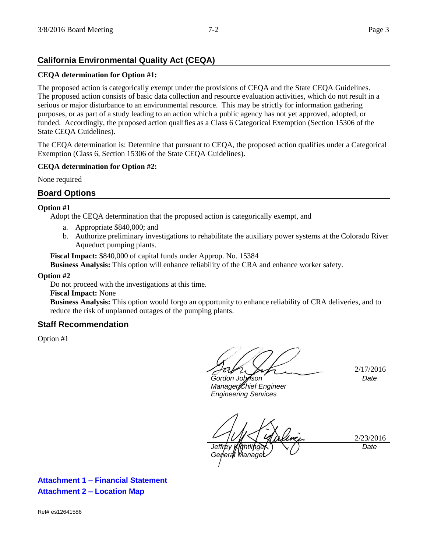# **California Environmental Quality Act (CEQA)**

### **CEQA determination for Option #1:**

The proposed action is categorically exempt under the provisions of CEQA and the State CEQA Guidelines. The proposed action consists of basic data collection and resource evaluation activities, which do not result in a serious or major disturbance to an environmental resource. This may be strictly for information gathering purposes, or as part of a study leading to an action which a public agency has not yet approved, adopted, or funded. Accordingly, the proposed action qualifies as a Class 6 Categorical Exemption (Section 15306 of the State CEQA Guidelines).

The CEQA determination is: Determine that pursuant to CEQA, the proposed action qualifies under a Categorical Exemption (Class 6, Section 15306 of the State CEQA Guidelines).

### **CEQA determination for Option #2:**

None required

## **Board Options**

### **Option #1**

Adopt the CEQA determination that the proposed action is categorically exempt, and

- a. Appropriate \$840,000; and
- b. Authorize preliminary investigations to rehabilitate the auxiliary power systems at the Colorado River Aqueduct pumping plants.

**Fiscal Impact:** \$840,000 of capital funds under Approp. No. 15384

**Business Analysis:** This option will enhance reliability of the CRA and enhance worker safety.

#### **Option #2**

Do not proceed with the investigations at this time.

#### **Fiscal Impact:** None

**Business Analysis:** This option would forgo an opportunity to enhance reliability of CRA deliveries, and to reduce the risk of unplanned outages of the pumping plants.

### **Staff Recommendation**

Option #1

2/17/2016 *Date*

*Gordon Johnson Manager/Chief Engineer Engineering Services*

2/23/2016 *Jeffrey Kightlinger General Manager Date*

**Attachment 1 – Financial Statement Attachment 2 – Location Map**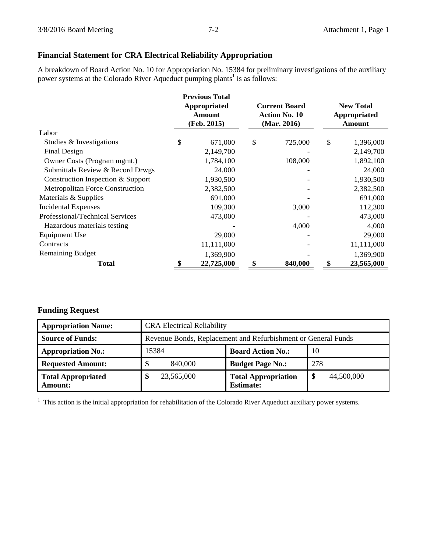# **Financial Statement for CRA Electrical Reliability Appropriation**

A breakdown of Board Action No. 10 for Appropriation No. 15384 for preliminary investigations of the auxiliary power systems at the Colorado River Aqueduct pumping plants<sup>1</sup> is as follows:

|                                        | <b>Previous Total</b><br>Appropriated<br>Amount<br>(Feb. 2015) | <b>Current Board</b><br><b>Action No. 10</b><br>(Mar. 2016) |         | <b>New Total</b><br>Appropriated<br>Amount |            |
|----------------------------------------|----------------------------------------------------------------|-------------------------------------------------------------|---------|--------------------------------------------|------------|
| Labor                                  |                                                                |                                                             |         |                                            |            |
| Studies & Investigations               | \$<br>671,000                                                  | \$                                                          | 725,000 | \$                                         | 1,396,000  |
| Final Design                           | 2,149,700                                                      |                                                             |         |                                            | 2,149,700  |
| Owner Costs (Program mgmt.)            | 1,784,100                                                      |                                                             | 108,000 |                                            | 1,892,100  |
| Submittals Review & Record Drwgs       | 24,000                                                         |                                                             |         |                                            | 24,000     |
| Construction Inspection & Support      | 1,930,500                                                      |                                                             |         |                                            | 1,930,500  |
| <b>Metropolitan Force Construction</b> | 2,382,500                                                      |                                                             |         |                                            | 2,382,500  |
| Materials & Supplies                   | 691,000                                                        |                                                             |         |                                            | 691,000    |
| <b>Incidental Expenses</b>             | 109,300                                                        |                                                             | 3,000   |                                            | 112,300    |
| Professional/Technical Services        | 473,000                                                        |                                                             |         |                                            | 473,000    |
| Hazardous materials testing            |                                                                |                                                             | 4,000   |                                            | 4,000      |
| Equipment Use                          | 29,000                                                         |                                                             |         |                                            | 29,000     |
| Contracts                              | 11,111,000                                                     |                                                             |         |                                            | 11,111,000 |
| <b>Remaining Budget</b>                | 1,369,900                                                      |                                                             |         |                                            | 1,369,900  |
| <b>Total</b>                           | \$<br>22,725,000                                               | \$                                                          | 840,000 | \$                                         | 23,565,000 |

## **Funding Request**

| <b>Appropriation Name:</b>                  | <b>CRA Electrical Reliability</b>                             |                                                |                  |  |  |
|---------------------------------------------|---------------------------------------------------------------|------------------------------------------------|------------------|--|--|
| <b>Source of Funds:</b>                     | Revenue Bonds, Replacement and Refurbishment or General Funds |                                                |                  |  |  |
| <b>Appropriation No.:</b>                   | 15384                                                         | <b>Board Action No.:</b>                       | 10               |  |  |
| <b>Requested Amount:</b>                    | 840,000<br>\$                                                 | <b>Budget Page No.:</b>                        | 278              |  |  |
| <b>Total Appropriated</b><br><b>Amount:</b> | 23,565,000<br>Œ                                               | <b>Total Appropriation</b><br><b>Estimate:</b> | 44,500,000<br>-S |  |  |

 $<sup>1</sup>$  This action is the initial appropriation for rehabilitation of the Colorado River Aqueduct auxiliary power systems.</sup>